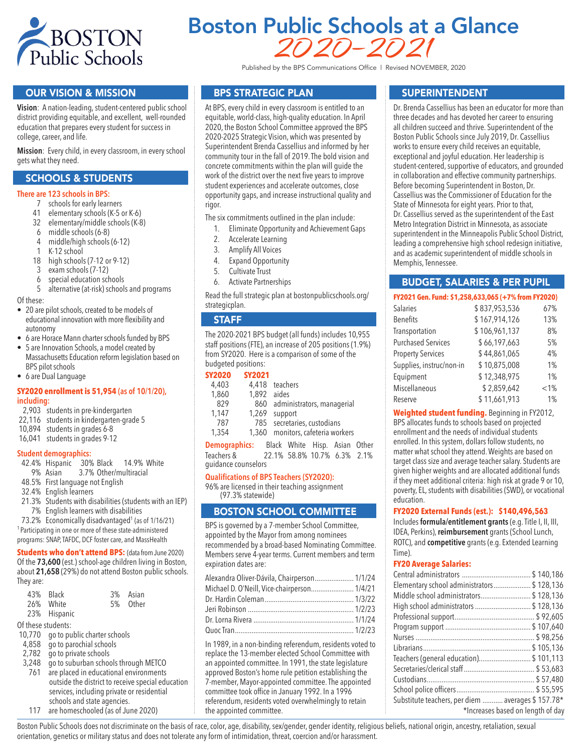

# Boston Public Schools at a Glance 2020–2021

Published by the BPS Communications Office | Revised NOVEMBER, 2020

## OUR VISION & MISSION

**Vision**: A nation-leading, student-centered public school district providing equitable, and excellent, well-rounded education that prepares every student for success in college, career, and life.

**Mission**: Every child, in every classroom, in every school gets what they need.

## SCHOOLS & STUDENTS

#### **There are 123 schools in BPS:**

- 7 schools for early learners
- 41 elementary schools (K-5 or K-6)
- 32 elementary/middle schools (K-8)
- 6 middle schools (6-8)
- middle/high schools (6-12)
- 1 K-12 school
- 18 high schools (7-12 or 9-12)
- 3 exam schools (7-12)
- 6 special education schools
- 5 alternative (at-risk) schools and programs

Of these:

- 20 are pilot schools, created to be models of educational innovation with more flexibility and autonomy
- 6 are Horace Mann charter schools funded by BPS
- 5 are Innovation Schools, a model created by Massachusetts Education reform legislation based on BPS pilot schools
- 6 are Dual Language

#### **SY2020 enrollment is 51,954 (as of 10/1/20), including:**

- 2,903 students in pre-kindergarten
- 22,116 students in kindergarten-grade 5
- 10,894 students in grades 6-8
- 16,041 students in grades 9-12

#### **Student demographics:**

- 42.4% Hispanic 30% Black 14.9% White<br>9% Asian 3.7% Other/multiracial
- 3.7% Other/multiracial
- 48.5% First language not English
- 32.4% English learners
- 21.3% Students with disabilities (students with an IEP) 7% English learners with disabilities
- 73.2% Economically disadvantaged<sup>1</sup> (as of 1/16/21)
- 1 Participating in one or more of these state-administered

programs: SNAP, TAFDC, DCF foster care, and MassHealth

**Students who don't attend BPS:** (data from June 2020) Of the **73,600** (est.) school-age children living in Boston, about **21,658** (29%) do not attend Boston public schools. They are:

|                    | 43% Black                           | 3% | Asian    |  |
|--------------------|-------------------------------------|----|----------|--|
|                    | 26% White                           |    | 5% Other |  |
|                    | 23% Hispanic                        |    |          |  |
| Of these students: |                                     |    |          |  |
|                    | 10,770 go to public charter schools |    |          |  |
|                    | 4,858 go to parochial schools       |    |          |  |

- 
- 2,782 go to private schools
- 3,248 go to suburban schools through METCO 761 are placed in educational environments
- outside the district to receive special education services, including private or residential schools and state agencies.
- 117 are homeschooled (as of June 2020)

## BPS STRATEGIC PLAN

At BPS, every child in every classroom is entitled to an equitable, world-class, high-quality education. In April 2020, the Boston School Committee approved the BPS 2020-2025 Strategic Vision, which was presented by Superintendent Brenda Cassellius and informed by her community tour in the fall of 2019. The bold vision and concrete commitments within the plan will guide the work of the district over the next five years to improve student experiences and accelerate outcomes, close opportunity gaps, and increase instructional quality and rigor.

The six commitments outlined in the plan include:

- 1. Eliminate Opportunity and Achievement Gaps
- 2. Accelerate Learning
- 3. Amplify All Voices
- 4. Expand Opportunity
- 5. Cultivate Trust
- 6. Activate Partnerships

Read the full strategic plan at bostonpublicschools.org/ strategicplan.

#### **STAFF**

The 2020-2021 BPS budget (all funds) includes 10,955 staff positions (FTE), an increase of 205 positions (1.9%) from SY2020. Here is a comparison of some of the budgeted positions:

#### **SY2020 SY2021**

| 4,403         | 4,418 teachers |                                   |  |  |
|---------------|----------------|-----------------------------------|--|--|
| 1,860         | 1.892 aides    |                                   |  |  |
| 829           |                | 860 administrators, managerial    |  |  |
| 1.147         | 1,269 support  |                                   |  |  |
| 787           |                | 785 secretaries, custodians       |  |  |
| 1,354         |                | 1,360 monitors, cafeteria workers |  |  |
| Demographics: |                | Black White Hisp. Asian Other     |  |  |
| Taarhare &    |                | 22 1% 58 8% 10 7% 6 3% 2 1%       |  |  |

Teachers & 22.1% 58.8% 10.7% 6.3% 2.1% guidance counselors

#### **Qualifications of BPS Teachers (SY2020):**

96% are licensed in their teaching assignment (97.3% statewide)

## BOSTON SCHOOL COMMITTEE

BPS is governed by a 7-member School Committee, appointed by the Mayor from among nominees recommended by a broad-based Nominating Committee. Members serve 4-year terms. Current members and term expiration dates are:

| Alexandra Oliver-Dávila, Chairperson 1/1/24 |  |
|---------------------------------------------|--|
| Michael D. O'Neill, Vice-chairperson 1/4/21 |  |
|                                             |  |
|                                             |  |
|                                             |  |
|                                             |  |

In 1989, in a non-binding referendum, residents voted to replace the 13-member elected School Committee with an appointed committee. In 1991, the state legislature approved Boston's home rule petition establishing the 7-member, Mayor-appointed committee. The appointed committee took office in January 1992. In a 1996 referendum, residents voted overwhelmingly to retain the appointed committee.

## SUPERINTENDENT

Dr. Brenda Cassellius has been an educator for more than three decades and has devoted her career to ensuring all children succeed and thrive. Superintendent of the Boston Public Schools since July 2019, Dr. Cassellius works to ensure every child receives an equitable, exceptional and joyful education. Her leadership is student-centered, supportive of educators, and grounded in collaboration and effective community partnerships. Before becoming Superintendent in Boston, Dr. Cassellius was the Commissioner of Education for the State of Minnesota for eight years. Prior to that, Dr. Cassellius served as the superintendent of the East Metro Integration District in Minnesota, as associate superintendent in the Minneapolis Public School District, leading a comprehensive high school redesign initiative, and as academic superintendent of middle schools in Memphis, Tennessee.

## BUDGET, SALARIES & PER PUPIL

|  |  | FY2021 Gen. Fund: \$1,258,633,065 (+7% from FY2020) |  |  |
|--|--|-----------------------------------------------------|--|--|
|--|--|-----------------------------------------------------|--|--|

| <b>Salaries</b>           | \$837,953,536 | 67%  |
|---------------------------|---------------|------|
| <b>Benefits</b>           | \$167,914,126 | 13%  |
| Transportation            | \$106,961,137 | 8%   |
| <b>Purchased Services</b> | \$66,197,663  | 5%   |
| <b>Property Services</b>  | \$44,861,065  | 4%   |
| Supplies, instruc/non-in  | \$10,875,008  | 1%   |
| Equipment                 | \$12,348,975  | 1%   |
| Miscellaneous             | \$2,859,642   | < 1% |
| Reserve                   | \$11,661,913  | 1%   |

**Weighted student funding.** Beginning in FY2012, BPS allocates funds to schools based on projected enrollment and the needs of individual students enrolled. In this system, dollars follow students, no matter what school they attend. Weights are based on target class size and average teacher salary. Students are given higher weights and are allocated additional funds if they meet additional criteria: high risk at grade 9 or 10, poverty, EL, students with disabilities (SWD), or vocational education.

#### **FY2020 External Funds (est.): \$140,496,563**

Includes **formula/entitlement grants** (e.g. Title I, II, III, IDEA, Perkins), **reimbursement** grants (School Lunch, ROTC), and **competitive** grants (e.g. Extended Learning Time).

#### **FY20 Average Salaries:**

| Elementary school administrators\$ 128,136        |                                   |
|---------------------------------------------------|-----------------------------------|
| Middle school administrators \$128,136            |                                   |
| High school administrators \$ 128,136             |                                   |
|                                                   |                                   |
|                                                   |                                   |
|                                                   |                                   |
|                                                   |                                   |
| Teachers (general education) \$101,113            |                                   |
|                                                   |                                   |
|                                                   |                                   |
|                                                   |                                   |
| Substitute teachers, per diem  averages \$157.78* |                                   |
|                                                   | *Increases based on length of day |

Boston Public Schools does not discriminate on the basis of race, color, age, disability, sex/gender, gender identity, religious beliefs, national origin, ancestry, retaliation, sexual orientation, genetics or military status and does not tolerate any form of intimidation, threat, coercion and/or harassment.